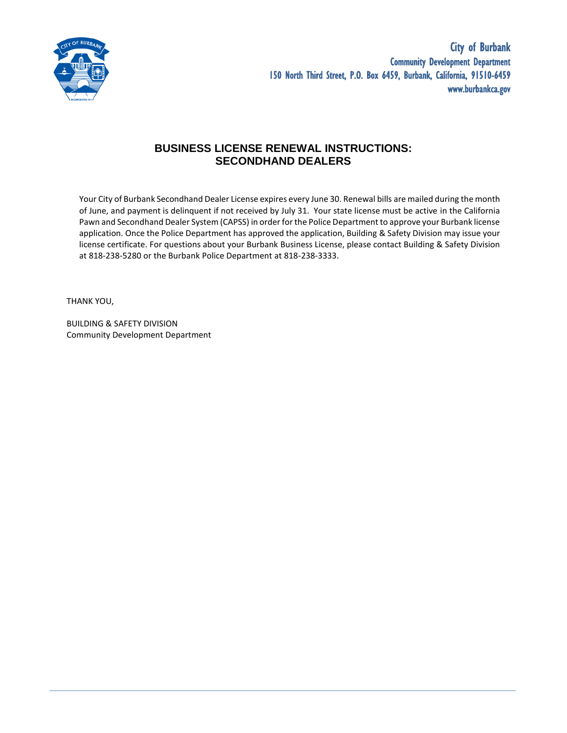

## **BUSINESS LICENSE RENEWAL INSTRUCTIONS: SECONDHAND DEALERS**

Your City of Burbank Secondhand Dealer License expires every June 30. Renewal bills are mailed during the month of June, and payment is delinquent if not received by July 31. Your state license must be active in the California Pawn and Secondhand Dealer System (CAPSS) in order for the Police Department to approve your Burbank license application. Once the Police Department has approved the application, Building & Safety Division may issue your license certificate. For questions about your Burbank Business License, please contact Building & Safety Division at 818-238-5280 or the Burbank Police Department at 818-238-3333.

THANK YOU,

BUILDING & SAFETY DIVISION Community Development Department